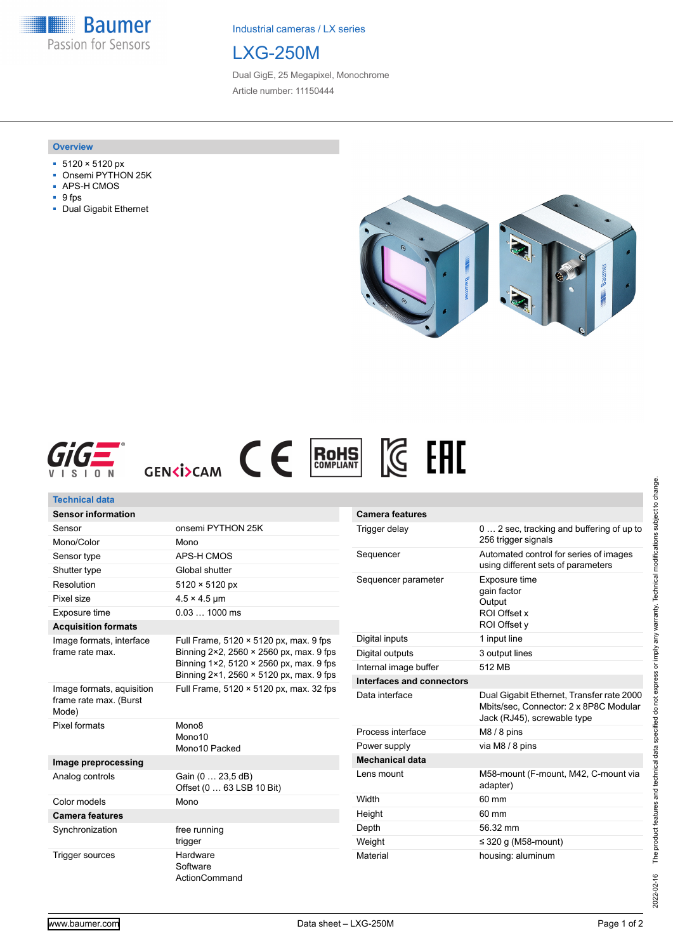**Baumer** Passion for Sensors

Industrial cameras / LX series

# LXG-250M

Dual GigE, 25 Megapixel, Monochrome Article number: 11150444

#### **Overview**

- 5120 × 5120 px
- Onsemi PYTHON 25K
- APS-H CMOS
- 9 fps
- Dual Gigabit Ethernet







| <b>Technical data</b>                                        |                                                                                                                              |                                                                                           |                                                                                                                    |
|--------------------------------------------------------------|------------------------------------------------------------------------------------------------------------------------------|-------------------------------------------------------------------------------------------|--------------------------------------------------------------------------------------------------------------------|
| <b>Sensor information</b>                                    |                                                                                                                              | <b>Camera features</b>                                                                    |                                                                                                                    |
| Sensor                                                       | onsemi PYTHON 25K                                                                                                            | Trigger delay                                                                             | 0  2 sec, tracking and buffering of up to<br>256 trigger signals                                                   |
| Mono/Color                                                   | Mono                                                                                                                         |                                                                                           |                                                                                                                    |
| Sensor type                                                  | APS-H CMOS                                                                                                                   | Automated control for series of images<br>Sequencer<br>using different sets of parameters |                                                                                                                    |
| Shutter type                                                 | Global shutter                                                                                                               |                                                                                           |                                                                                                                    |
| Resolution                                                   | $5120 \times 5120$ px                                                                                                        | Exposure time<br>Sequencer parameter<br>gain factor<br>Output<br>ROI Offset x             |                                                                                                                    |
| Pixel size                                                   | $4.5 \times 4.5$ µm                                                                                                          |                                                                                           |                                                                                                                    |
| Exposure time                                                | $0.031000$ ms                                                                                                                |                                                                                           |                                                                                                                    |
| <b>Acquisition formats</b>                                   |                                                                                                                              |                                                                                           | ROI Offset y                                                                                                       |
| Image formats, interface<br>frame rate max.                  | Full Frame, 5120 × 5120 px, max. 9 fps<br>Binning 2×2, 2560 × 2560 px, max. 9 fps<br>Binning 1×2, 5120 × 2560 px, max. 9 fps | Digital inputs                                                                            | 1 input line                                                                                                       |
|                                                              |                                                                                                                              | Digital outputs                                                                           | 3 output lines                                                                                                     |
|                                                              |                                                                                                                              | Internal image buffer                                                                     | 512 MB                                                                                                             |
|                                                              | Binning $2 \times 1$ , 2560 $\times$ 5120 px, max. 9 fps                                                                     | Interfaces and connectors                                                                 |                                                                                                                    |
| Image formats, aquisition<br>frame rate max. (Burst<br>Mode) | Full Frame, 5120 × 5120 px, max. 32 fps                                                                                      | Data interface                                                                            | Dual Gigabit Ethernet, Transfer rate 2000<br>Mbits/sec. Connector: 2 x 8P8C Modular<br>Jack (RJ45), screwable type |
| Pixel formats                                                | Mono <sub>8</sub><br>Mono10<br>Mono10 Packed                                                                                 | Process interface                                                                         | $M8/8$ pins                                                                                                        |
|                                                              |                                                                                                                              | Power supply                                                                              | via M8 / 8 pins                                                                                                    |
| Image preprocessing                                          |                                                                                                                              | <b>Mechanical data</b>                                                                    |                                                                                                                    |
| Analog controls                                              | Gain (0  23,5 dB)<br>Offset (0  63 LSB 10 Bit)                                                                               | Lens mount                                                                                | M58-mount (F-mount, M42, C-mount via<br>adapter)                                                                   |
| Color models                                                 | Mono                                                                                                                         | Width                                                                                     | 60 mm                                                                                                              |
| <b>Camera features</b>                                       |                                                                                                                              | Height                                                                                    | 60 mm                                                                                                              |
| Synchronization                                              | free running<br>trigger                                                                                                      | Depth                                                                                     | 56.32 mm                                                                                                           |
|                                                              |                                                                                                                              | Weight                                                                                    | $\leq$ 320 g (M58-mount)                                                                                           |
| Trigger sources                                              | Hardware<br>Software                                                                                                         | Material                                                                                  | housing: aluminum                                                                                                  |

ActionCommand